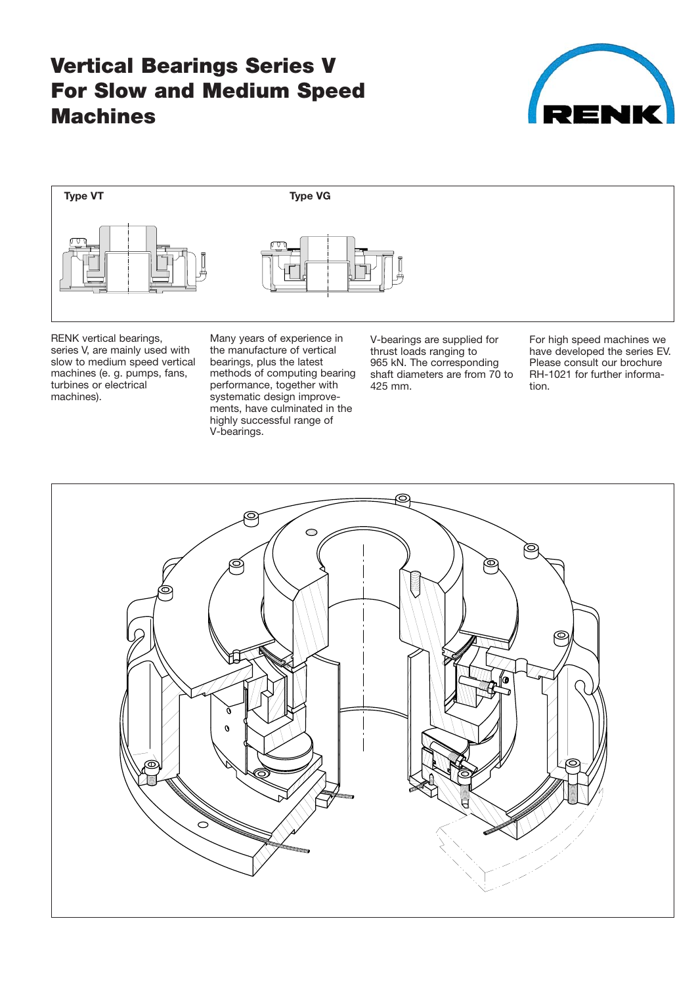# **Vertical Bearings Series V For Slow and Medium Speed Machines**





RENK vertical bearings, series V, are mainly used with slow to medium speed vertical machines (e. g. pumps, fans, turbines or electrical machines).

Many years of experience in the manufacture of vertical bearings, plus the latest methods of computing bearing performance, together with systematic design improve ments, have culminated in the highly successful range of V-bearings.

V-bearings are supplied for thrust loads ranging to 965 kN. The corresponding shaft diameters are from 70 to 425 mm.

For high speed machines we have developed the series EV. Please consult our brochure RH-1021 for further information.

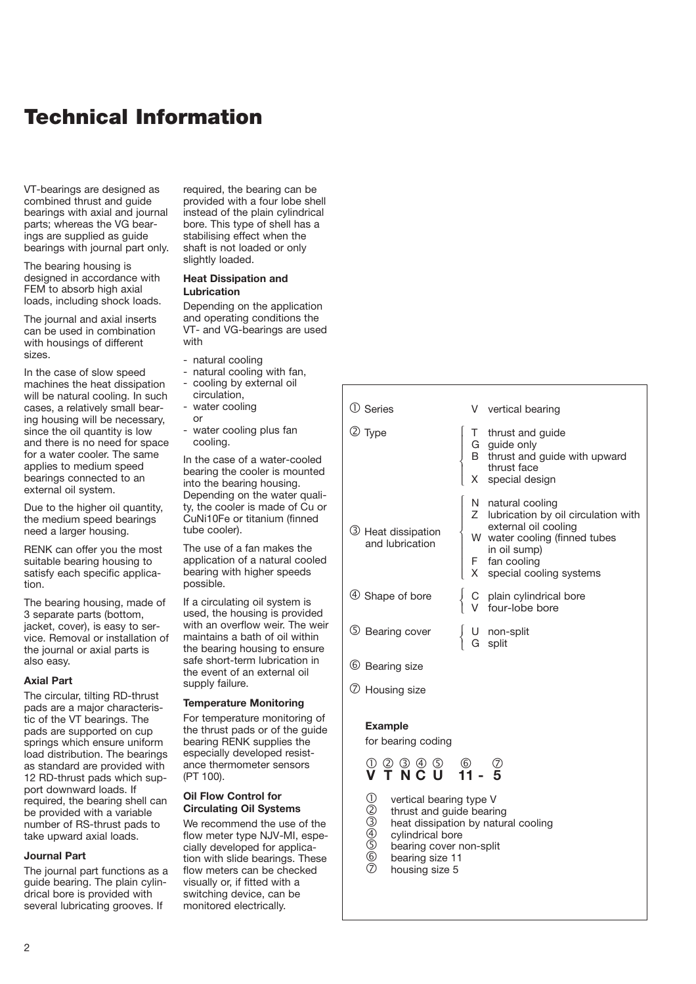## **Technical Information**

VT-bearings are designed as combined thrust and guide bearings with axial and journal parts; whereas the VG bearings are supplied as guide bearings with journal part only.

The bearing housing is designed in accordance with FEM to absorb high axial loads, including shock loads.

The journal and axial inserts can be used in combination with housings of different sizes.

In the case of slow speed machines the heat dissipation will be natural cooling. In such cases, a relatively small bear ing housing will be necessary, since the oil quantity is low and there is no need for space for a water cooler. The same applies to medium speed bearings connected to an external oil system.

Due to the higher oil quantity, the medium speed bearings need a larger housing.

RENK can offer you the most suitable bearing housing to satisfy each specific applica tion.

The bearing housing, made of 3 separate parts (bottom, jacket, cover), is easy to ser vice. Removal or installation of the journal or axial parts is also easy.

#### **Axial Part**

The circular, tilting RD-thrust pads are a major characteris tic of the VT bearings. The pads are supported on cup springs which ensure uniform load distribution. The bearings as standard are provided with 12 RD-thrust pads which support downward loads. If required, the bearing shell can be provided with a variable number of RS-thrust pads to take upward axial loads.

#### **Journal Part**

The journal part functions as a quide bearing. The plain cylindrical bore is provided with several lubricating grooves. If

required, the bearing can be provided with a four lobe shell instead of the plain cylindrical bore. This type of shell has a stabilising effect when the shaft is not loaded or only slightly loaded.

#### **Heat Dissipation and Lubrication**

Depending on the application and operating conditions the VT- and VG-bearings are used with

- natural cooling
- natural cooling with fan.
- cooling by external oil
- circulation, water cooling
- or - water cooling plus fan
- cooling.

In the case of a water-cooled bearing the cooler is mounted into the bearing housing. Depending on the water quali ty, the cooler is made of Cu or CuNi10Fe or titanium (finned tube cooler).

The use of a fan makes the application of a natural cooled bearing with higher speeds possible.

If a circulating oil system is used, the housing is provided with an overflow weir. The weir maintains a bath of oil within the bearing housing to ensure safe short-term lubrication in the event of an external oil supply failure.

#### **Temperature Monitoring**

For temperature monitoring of the thrust pads or of the guide bearing RENK supplies the especially developed resist ance thermometer sensors (PT 100).

#### **Oil Flow Control for Circulating Oil Systems**

We recommend the use of the flow meter type NJV-MI, especially developed for applica tion with slide bearings. These flow meters can be checked visually or, if fitted with a switching device, can be monitored electrically.

| (1) Series                                                                                   |          | V vertical bearing                                                                                                                                                              |
|----------------------------------------------------------------------------------------------|----------|---------------------------------------------------------------------------------------------------------------------------------------------------------------------------------|
| ② Type                                                                                       |          | T thrust and guide<br>G guide only<br>B thrust and guide with upward<br>thrust face<br>special design                                                                           |
| 3 Heat dissipation<br>and lubrication                                                        | <b>X</b> | N natural cooling<br>Z lubrication by oil circulation with<br>external oil cooling<br>W water cooling (finned tubes<br>in oil sump)<br>F fan cooling<br>special cooling systems |
| 4 Shape of bore                                                                              |          | C plain cylindrical bore<br>four-lobe bore                                                                                                                                      |
| 5 Bearing cover                                                                              |          | U non-split<br>G split<br>split                                                                                                                                                 |
| 6 Bearing size                                                                               |          |                                                                                                                                                                                 |
| 7 Housing size                                                                               |          |                                                                                                                                                                                 |
| <b>Example</b><br>for bearing coding<br>00000 60<br><b>V T N C U 11 - 5</b>                  |          |                                                                                                                                                                                 |
|                                                                                              |          |                                                                                                                                                                                 |
| (1)<br>(2)<br>(4)<br>vertical bearing type V<br>thrust and guide bearing<br>ovlindrical hora |          | heat dissipation by natural cooling                                                                                                                                             |

- $\frac{4}{5}$  cylindrical bore<br>5 bearing cover r
- <sup>(5)</sup> bearing cover non-split<br>
<sup>6</sup> bearing size 11
- $\begin{matrix} 6 \ \hline \end{matrix}$  bearing size 11 housing size 5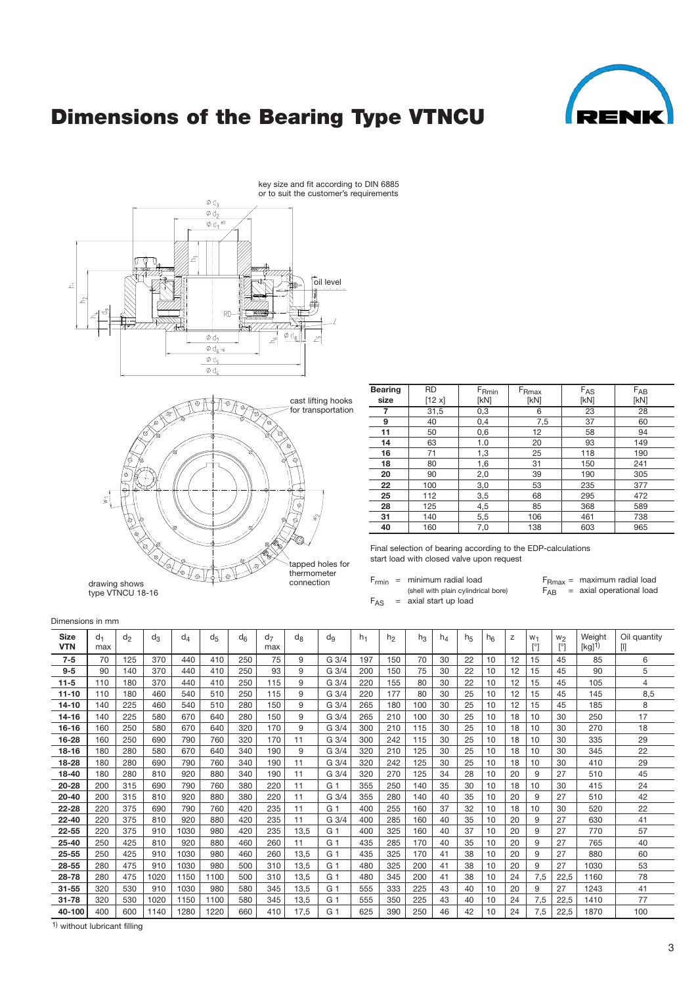

# **Dimensions of the Bearing Type VTNCU**



drawing shows connection

| <b>Bearing</b> | <b>RD</b> | $F_{Rmin}$ | $F_{\rm Rmax}$ | $F_{AS}$ | $F_{AB}$ |
|----------------|-----------|------------|----------------|----------|----------|
| size           | [12 x]    | [kN]       | [kN]           | [kN]     | [kN]     |
| 7              | 31,5      | 0,3        | 6              | 23       | 28       |
| 9              | 40        | 0,4        | 7,5            | 37       | 60       |
| 11             | 50        | 0,6        | 12             | 58       | 94       |
| 14             | 63        | 1.0        | 20             | 93       | 149      |
| 16             | 71        | 1,3        | 25             | 118      | 190      |
| 18             | 80        | 1,6        | 31             | 150      | 241      |
| 20             | 90        | 2,0        | 39             | 190      | 305      |
| 22             | 100       | 3,0        | 53             | 235      | 377      |
| 25             | 112       | 3,5        | 68             | 295      | 472      |
| 28             | 125       | 4,5        | 85             | 368      | 589      |
| 31             | 140       | 5,5        | 106            | 461      | 738      |
| 40             | 160       | 7,0        | 138            | 603      | 965      |

Final selection of bearing according to the EDP-calculations start load with closed valve upon request

F<sub>rmin</sub> = minimum radial load F<sub>Rmax</sub> = maximum radial load  $F_{AS}$  = axial start up load

(shell with plain cylindrical bore)  $F_{AB}$  = axial operational load

Dimensions in mm

type VTNCU 18-16

| <b>Size</b><br><b>VTN</b> | $d_1$<br>max | $d_2$ | $d_3$ | $d_{\varDelta}$ | d <sub>5</sub> | $d_{6}$ | d <sub>7</sub><br>max | $d_{8}$ | $d_{9}$          | $h_1$ | h <sub>2</sub> | $h_3$ | $h_4$ | h <sub>5</sub> | $h_{6}$ | Z  | W <sub>1</sub><br>ſ°۱ | W <sub>2</sub><br>$\lceil$ °1 | Weight<br>[kg] | Oil quantity<br>U |
|---------------------------|--------------|-------|-------|-----------------|----------------|---------|-----------------------|---------|------------------|-------|----------------|-------|-------|----------------|---------|----|-----------------------|-------------------------------|----------------|-------------------|
| $7 - 5$                   | 70           | 125   | 370   | 440             | 410            | 250     | 75                    | 9       | G <sub>3/4</sub> | 197   | 150            | 70    | 30    | 22             | 10      | 12 | 15                    | 45                            | 85             | 6                 |
| $9-5$                     | 90           | 140   | 370   | 440             | 410            | 250     | 93                    | 9       | G <sub>3/4</sub> | 200   | 150            | 75    | 30    | 22             | 10      | 12 | 15                    | 45                            | 90             | 5                 |
| $11 - 5$                  | 110          | 180   | 370   | 440             | 410            | 250     | 115                   | 9       | G <sub>3/4</sub> | 220   | 155            | 80    | 30    | 22             | 10      | 12 | 15                    | 45                            | 105            | 4                 |
| $11 - 10$                 | 110          | 180   | 460   | 540             | 510            | 250     | 115                   | 9       | G <sub>3/4</sub> | 220   | 177            | 80    | 30    | 25             | 10      | 12 | 15                    | 45                            | 145            | 8.5               |
| $14 - 10$                 | 140          | 225   | 460   | 540             | 510            | 280     | 150                   | 9       | G 3/4            | 265   | 180            | 100   | 30    | 25             | 10      | 12 | 15                    | 45                            | 185            | 8                 |
| 14-16                     | 140          | 225   | 580   | 670             | 640            | 280     | 150                   | 9       | G 3/4            | 265   | 210            | 100   | 30    | 25             | 10      | 18 | 10                    | 30                            | 250            | 17                |
| $16 - 16$                 | 160          | 250   | 580   | 670             | 640            | 320     | 170                   | 9       | G 3/4            | 300   | 210            | 115   | 30    | 25             | 10      | 18 | 10                    | 30                            | 270            | 18                |
| 16-28                     | 160          | 250   | 690   | 790             | 760            | 320     | 170                   | 11      | G <sub>3/4</sub> | 300   | 242            | 115   | 30    | 25             | 10      | 18 | 10                    | 30                            | 335            | 29                |
| $18 - 16$                 | 180          | 280   | 580   | 670             | 640            | 340     | 190                   | 9       | G <sub>3/4</sub> | 320   | 210            | 125   | 30    | 25             | 10      | 18 | 10                    | 30                            | 345            | 22                |
| 18-28                     | 180          | 280   | 690   | 790             | 760            | 340     | 190                   | 11      | G 3/4            | 320   | 242            | 125   | 30    | 25             | 10      | 18 | 10                    | 30                            | 410            | 29                |
| 18-40                     | 180          | 280   | 810   | 920             | 880            | 340     | 190                   | 11      | G <sub>3/4</sub> | 320   | 270            | 125   | 34    | 28             | 10      | 20 | 9                     | 27                            | 510            | 45                |
| $20 - 28$                 | 200          | 315   | 690   | 790             | 760            | 380     | 220                   | 11      | G <sub>1</sub>   | 355   | 250            | 140   | 35    | 30             | 10      | 18 | 10                    | 30                            | 415            | 24                |
| $20 - 40$                 | 200          | 315   | 810   | 920             | 880            | 380     | 220                   | 11      | G <sub>3/4</sub> | 355   | 280            | 140   | 40    | 35             | 10      | 20 | 9                     | 27                            | 510            | 42                |
| $22 - 28$                 | 220          | 375   | 690   | 790             | 760            | 420     | 235                   | 11      | G 1              | 400   | 255            | 160   | 37    | 32             | 10      | 18 | 10                    | 30                            | 520            | 22                |
| $22 - 40$                 | 220          | 375   | 810   | 920             | 880            | 420     | 235                   | 11      | G 3/4            | 400   | 285            | 160   | 40    | 35             | 10      | 20 | 9                     | 27                            | 630            | 41                |
| $22 - 55$                 | 220          | 375   | 910   | 1030            | 980            | 420     | 235                   | 13.5    | G 1              | 400   | 325            | 160   | 40    | 37             | 10      | 20 | 9                     | 27                            | 770            | 57                |
| $25 - 40$                 | 250          | 425   | 810   | 920             | 880            | 460     | 260                   | 11      | G 1              | 435   | 285            | 170   | 40    | 35             | 10      | 20 | 9                     | 27                            | 765            | 40                |
| $25 - 55$                 | 250          | 425   | 910   | 1030            | 980            | 460     | 260                   | 13,5    | G <sub>1</sub>   | 435   | 325            | 170   | 41    | 38             | 10      | 20 | 9                     | 27                            | 880            | 60                |
| 28-55                     | 280          | 475   | 910   | 1030            | 980            | 500     | 310                   | 13,5    | G 1              | 480   | 325            | 200   | 41    | 38             | 10      | 20 | 9                     | 27                            | 1030           | 53                |
| 28-78                     | 280          | 475   | 1020  | 1150            | 1100           | 500     | 310                   | 13,5    | G <sub>1</sub>   | 480   | 345            | 200   | 41    | 38             | 10      | 24 | 7,5                   | 22,5                          | 1160           | 78                |
| $31 - 55$                 | 320          | 530   | 910   | 1030            | 980            | 580     | 345                   | 13.5    | G <sub>1</sub>   | 555   | 333            | 225   | 43    | 40             | 10      | 20 | 9                     | 27                            | 1243           | 41                |
| $31 - 78$                 | 320          | 530   | 1020  | 1150            | 1100           | 580     | 345                   | 13.5    | G 1              | 555   | 350            | 225   | 43    | 40             | 10      | 24 | 7.5                   | 22.5                          | 1410           | 77                |
| 40-100                    | 400          | 600   | 1140  | 1280            | 1220           | 660     | 410                   | 17,5    | G 1              | 625   | 390            | 250   | 46    | 42             | 10      | 24 | 7.5                   | 22,5                          | 1870           | 100               |

tapped holes for thermometer<br>connection

 $\overline{1)}$  without lubricant filling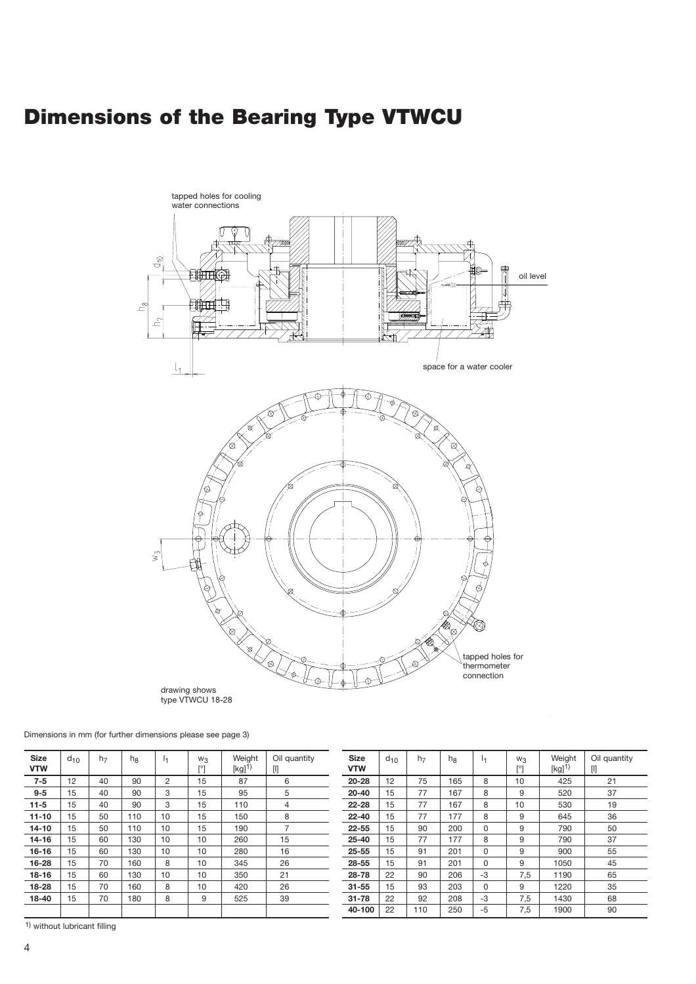# **Dimensions of the Bearing Type VTWCU**



Dimensions in mm (for further dimensions please see page 3)

| <b>Size</b><br><b>VTW</b> | $d_{10}$ | h <sub>7</sub> | $h_{\rm R}$ | Ι, | $W_3$<br>[°] | Weight<br>$[kg]$ <sup>1)</sup> | Oil quantity<br>0 |
|---------------------------|----------|----------------|-------------|----|--------------|--------------------------------|-------------------|
| $7 - 5$                   | 12       | 40             | 90          | 2  | 15           | 87                             | 6                 |
| $9 - 5$                   | 15       | 40             | 90          | 3  | 15           | 95                             | 5                 |
| $11 - 5$                  | 15       | 40             | 90          | 3  | 15           | 110                            | 4                 |
| $11 - 10$                 | 15       | 50             | 110         | 10 | 15           | 150                            | 8                 |
| $14 - 10$                 | 15       | 50             | 110         | 10 | 15           | 190                            | $\overline{7}$    |
| 14-16                     | 15       | 60             | 130         | 10 | 10           | 260                            | 15                |
| $16 - 16$                 | 15       | 60             | 130         | 10 | 10           | 280                            | 16                |
| 16-28                     | 15       | 70             | 160         | 8  | 10           | 345                            | 26                |
| $18 - 16$                 | 15       | 60             | 130         | 10 | 10           | 350                            | 21                |
| 18-28                     | 15       | 70             | 160         | 8  | 10           | 420                            | 26                |
| 18-40                     | 15       | 70             | 180         | 8  | 9            | 525                            | 39                |
|                           |          |                |             |    |              |                                |                   |

| <b>Size</b><br><b>VTW</b> | $d_{10}$ | h <sub>7</sub> | $h_{8}$ | 14       | $W_3$<br>[°] | Weight<br>$[kg]^{1}$ | Oil quantity<br>[I] |
|---------------------------|----------|----------------|---------|----------|--------------|----------------------|---------------------|
| $20 - 28$                 | 12       | 75             | 165     | 8        | 10           | 425                  | 21                  |
| $20 - 40$                 | 15       | 77             | 167     | 8        | 9            | 520                  | 37                  |
| $22 - 28$                 | 15       | 77             | 167     | 8        | 10           | 530                  | 19                  |
| $22 - 40$                 | 15       | 77             | 177     | 8        | 9            | 645                  | 36                  |
| 22-55                     | 15       | 90             | 200     | 0        | 9            | 790                  | 50                  |
| $25 - 40$                 | 15       | 77             | 177     | 8        | 9            | 790                  | 37                  |
| $25 - 55$                 | 15       | 91             | 201     | $\Omega$ | 9            | 900                  | 55                  |
| 28-55                     | 15       | 91             | 201     | $\Omega$ | 9            | 1050                 | 45                  |
| 28-78                     | 22       | 90             | 206     | -3       | 7,5          | 1190                 | 65                  |
| $31 - 55$                 | 15       | 93             | 203     | 0        | 9            | 1220                 | 35                  |
| $31 - 78$                 | 22       | 92             | 208     | -3       | 7,5          | 1430                 | 68                  |
| 40-100                    | 22       | 110            | 250     | -5       | 7,5          | 1900                 | 90                  |

1) without lubricant filling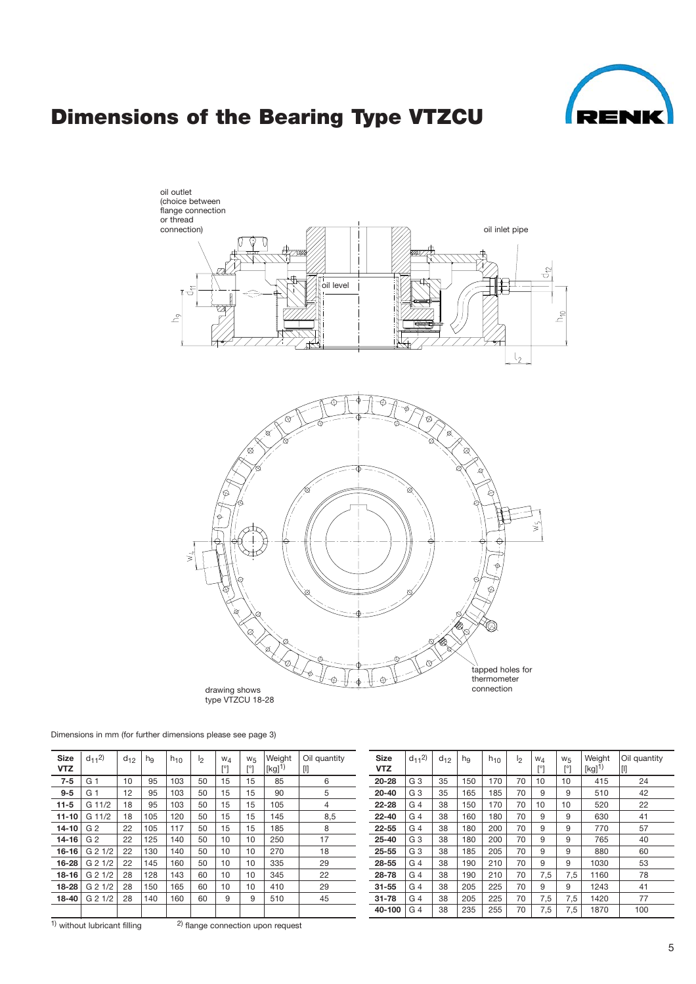

# **Dimensions of the Bearing Type VTZCU**



Dimensions in mm (for further dimensions please see page 3)

| <b>Size</b><br><b>VTZ</b> | $d_{11}$ <sup>2</sup> ) | $d_{12}$ | $h_{\mathsf{q}}$ | . $h_{10}$ | $\mathsf{I}_2$ | $W_4$<br>$[^{\circ}]$ | $W_5$<br>[°] | Weight<br>[kg] <sup>1)</sup> | Oil quantity<br>$[]$ |
|---------------------------|-------------------------|----------|------------------|------------|----------------|-----------------------|--------------|------------------------------|----------------------|
| $7 - 5$                   | G <sub>1</sub>          | 10       | 95               | 103        | 50             | 15                    | 15           | 85                           | 6                    |
| $9 - 5$                   | G 1                     | 12       | 95               | 103        | 50             | 15                    | 15           | 90                           | 5                    |
| $11 - 5$                  | G 11/2                  | 18       | 95               | 103        | 50             | 15                    | 15           | 105                          | 4                    |
| $11 - 10$                 | G 11/2                  | 18       | 105              | 120        | 50             | 15                    | 15           | 145                          | 8,5                  |
| $14 - 10$                 | G <sub>2</sub>          | 22       | 105              | 117        | 50             | 15                    | 15           | 185                          | 8                    |
| $14 - 16$                 | G <sub>2</sub>          | 22       | 125              | 140        | 50             | 10                    | 10           | 250                          | 17                   |
| $16 - 16$                 | G 2 1/2                 | 22       | 130              | 140        | 50             | 10                    | 10           | 270                          | 18                   |
| 16-28                     | G 2 1/2                 | 22       | 145              | 160        | 50             | 10                    | 10           | 335                          | 29                   |
| $18 - 16$                 | G 2 1/2                 | 28       | 128              | 143        | 60             | 10                    | 10           | 345                          | 22                   |
| $18 - 28$                 | G 2 1/2                 | 28       | 150              | 165        | 60             | 10                    | 10           | 410                          | 29                   |
| 18-40                     | G 2 1/2                 | 28       | 140              | 160        | 60             | 9                     | 9            | 510                          | 45                   |
|                           |                         |          |                  |            |                |                       |              |                              |                      |

 $1)$  without lubricant filling  $2)$  flange connection upon request

| <b>Size</b><br><b>VTZ</b> | $d_{11}$ <sup>2</sup> ) | $d_{12}$ | hg  | $h_{10}$ | I <sub>2</sub> | $W_4$<br>[°] | $W_{5}$<br>[°] | Weight<br>$[kg]^{1}$ | Oil quantity<br>$[] \centering \includegraphics[width=0.47\textwidth]{images/TrDiM1.png} \caption{The 3D (top) and 4D (bottom) are shown in the left and right.} \label{TrDiM1}$ |
|---------------------------|-------------------------|----------|-----|----------|----------------|--------------|----------------|----------------------|----------------------------------------------------------------------------------------------------------------------------------------------------------------------------------|
| $20 - 28$                 | G 3                     | 35       | 150 | 170      | 70             | 10           | 10             | 415                  | 24                                                                                                                                                                               |
| $20 - 40$                 | G <sub>3</sub>          | 35       | 165 | 185      | 70             | 9            | 9              | 510                  | 42                                                                                                                                                                               |
| $22 - 28$                 | G <sub>4</sub>          | 38       | 150 | 170      | 70             | 10           | 10             | 520                  | 22                                                                                                                                                                               |
| $22 - 40$                 | G <sub>4</sub>          | 38       | 160 | 180      | 70             | 9            | 9              | 630                  | 41                                                                                                                                                                               |
| 22-55                     | G <sub>4</sub>          | 38       | 180 | 200      | 70             | 9            | 9              | 770                  | 57                                                                                                                                                                               |
| $25 - 40$                 | G 3                     | 38       | 180 | 200      | 70             | 9            | 9              | 765                  | 40                                                                                                                                                                               |
| $25 - 55$                 | G <sub>3</sub>          | 38       | 185 | 205      | 70             | 9            | 9              | 880                  | 60                                                                                                                                                                               |
| 28-55                     | G <sub>4</sub>          | 38       | 190 | 210      | 70             | 9            | 9              | 1030                 | 53                                                                                                                                                                               |
| 28-78                     | G <sub>4</sub>          | 38       | 190 | 210      | 70             | 7,5          | 7,5            | 1160                 | 78                                                                                                                                                                               |
| $31 - 55$                 | G <sub>4</sub>          | 38       | 205 | 225      | 70             | 9            | 9              | 1243                 | 41                                                                                                                                                                               |
| $31 - 78$                 | G <sub>4</sub>          | 38       | 205 | 225      | 70             | 7,5          | 7,5            | 1420                 | 77                                                                                                                                                                               |
| 40-100                    | G <sub>4</sub>          | 38       | 235 | 255      | 70             | 7,5          | 7,5            | 1870                 | 100                                                                                                                                                                              |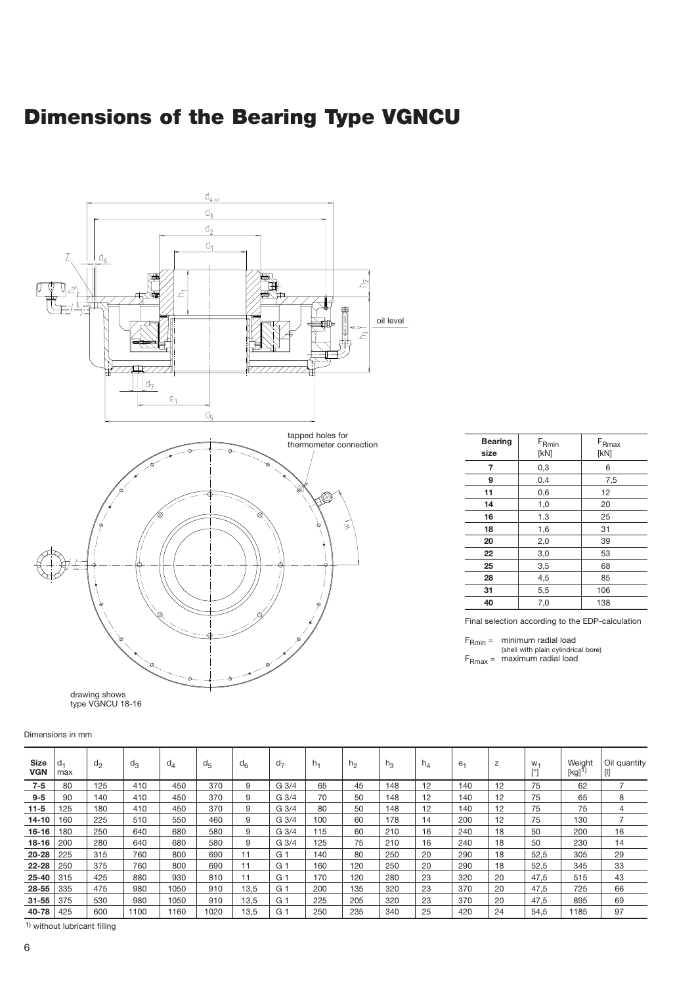# **Dimensions of the Bearing Type VGNCU**



| 7  | 0,3                                                                                                             | 6   |
|----|-----------------------------------------------------------------------------------------------------------------|-----|
| 9  | 0,4                                                                                                             | 7,5 |
| 11 | 0,6                                                                                                             | 12  |
| 14 | 1,0                                                                                                             | 20  |
| 16 | 1.3                                                                                                             | 25  |
| 18 | 1,6                                                                                                             | 31  |
| 20 | 2,0                                                                                                             | 39  |
| 22 | 3,0                                                                                                             | 53  |
| 25 | 3,5                                                                                                             | 68  |
| 28 | 4,5                                                                                                             | 85  |
| 31 | 5,5                                                                                                             | 106 |
| 40 | 7,0                                                                                                             | 138 |
|    | the contract of the contract of the contract of the contract of the contract of the contract of the contract of | .   |

**Bearing** F<sub>Rmin</sub> F<sub>Rmax</sub><br>size [kN] [kN] **size** [kN] [kN]

Final selection according to the EDP-calculation

FRmin = minimum radial load (shell with plain cylindrical bore)<br>F<sub>Rmax</sub> = maximum radial load

Dimensions in mm

| <b>Size</b><br><b>VGN</b> | max | d <sub>2</sub> | $d_3$ | $d_4$ | $d_{5}$ | $d_{6}$ | $d_{7}$        | $h_1$ | h <sub>2</sub> | $h_3$ | $h_4$ | e <sub>1</sub> | z  | $W -$<br>[°] | Weight<br>[kg] | Oil quantity<br>[I] |
|---------------------------|-----|----------------|-------|-------|---------|---------|----------------|-------|----------------|-------|-------|----------------|----|--------------|----------------|---------------------|
| $7 - 5$                   | 80  | 125            | 410   | 450   | 370     | 9       | G 3/4          | 65    | 45             | 148   | 12    | 140            | 12 | 75           | 62             |                     |
| $9 - 5$                   | 90  | 140            | 410   | 450   | 370     | 9       | G 3/4          | 70    | 50             | 148   | 12    | 140            | 12 | 75           | 65             | 8                   |
| $11-5$                    | 125 | 180            | 410   | 450   | 370     | 9       | G 3/4          | 80    | 50             | 148   | 12    | 140            | 12 | 75           | 75             | 4                   |
| $14 - 10$                 | 160 | 225            | 510   | 550   | 460     | 9       | G 3/4          | 100   | 60             | 178   | 14    | 200            | 12 | 75           | 130            |                     |
| $16 - 16$                 | 180 | 250            | 640   | 680   | 580     | 9       | G 3/4          | 115   | 60             | 210   | 16    | 240            | 18 | 50           | 200            | 16                  |
| $18 - 16$                 | 200 | 280            | 640   | 680   | 580     | 9       | G 3/4          | 125   | 75             | 210   | 16    | 240            | 18 | 50           | 230            | 14                  |
| 20-28                     | 225 | 315            | 760   | 800   | 690     | 11      | G <sub>1</sub> | 140   | 80             | 250   | 20    | 290            | 18 | 52,5         | 305            | 29                  |
| 22-28                     | 250 | 375            | 760   | 800   | 690     | 11      | G <sub>1</sub> | 160   | 120            | 250   | 20    | 290            | 18 | 52,5         | 345            | 33                  |
| $25 - 40$                 | 315 | 425            | 880   | 930   | 810     | 11      | G <sub>1</sub> | 170   | 120            | 280   | 23    | 320            | 20 | 47,5         | 515            | 43                  |
| 28-55                     | 335 | 475            | 980   | 1050  | 910     | 13.5    | G 1            | 200   | 135            | 320   | 23    | 370            | 20 | 47,5         | 725            | 66                  |
| $31 - 55$                 | 375 | 530            | 980   | 1050  | 910     | 13.5    | G <sub>1</sub> | 225   | 205            | 320   | 23    | 370            | 20 | 47,5         | 895            | 69                  |
| 40-78                     | 425 | 600            | 1100  | 1160  | 1020    | 13,5    | G <sub>1</sub> | 250   | 235            | 340   | 25    | 420            | 24 | 54,5         | 1185           | 97                  |

1) without lubricant filling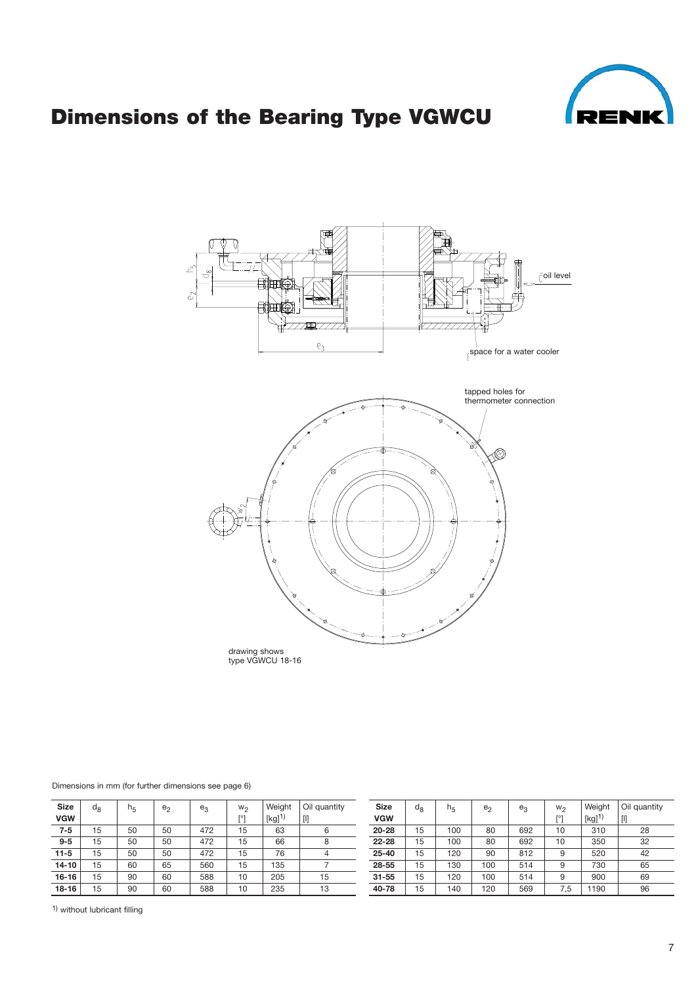

# **Dimensions of the Bearing Type VGWCU**



#### Dimensions in mm (for further dimensions see page 6)

| <b>Size</b> | $d_{8}$ | h <sub>π</sub> | e <sub>2</sub> | $e_3$ | $W_2$      | Weight | Oil quantity | <b>Size</b> | $d_8$ | ി≂  | e <sub>2</sub> | $e_3$ | $W_2$ | Weight | Oil quantity |
|-------------|---------|----------------|----------------|-------|------------|--------|--------------|-------------|-------|-----|----------------|-------|-------|--------|--------------|
| <b>VGW</b>  |         |                |                |       | <b>FOT</b> | [kg]   | $[]$         | <b>VGW</b>  |       |     |                |       | [O]   | [kg]   | UJ           |
| $7 - 5$     | 15      | 50             | 50             | 472   | 15         | 63     |              | $20 - 28$   | 15    | 100 | 80             | 692   | 10    | 310    | 28           |
| $9 - 5$     | 15      | 50             | 50             | 472   | 15         | 66     |              | $22 - 28$   | 15    | 100 | 80             | 692   | 10    | 350    | 32           |
| $11 - 5$    | 15      | 50             | 50             | 472   | 15         | 76     |              | $25 - 40$   | 15    | 120 | 90             | 812   | Ω     | 520    | 42           |
| $14 - 10$   | 15      | 60             | 65             | 560   | 15         | 135    |              | 28-55       | 15    | 130 | 100            | 514   | Ω     | 730    | 65           |
| $16 - 16$   | 15      | 90             | 60             | 588   | 10         | 205    | 15           | $31 - 55$   | 15    | 120 | 100            | 514   | ი     | 900    | 69           |
| $18 - 16$   | 15      | 90             | 60             | 588   | 10         | 235    | 13           | 40-78       | 15    | 140 | 120            | 569   | 7.5   | 190    | 96           |

1) without lubricant filling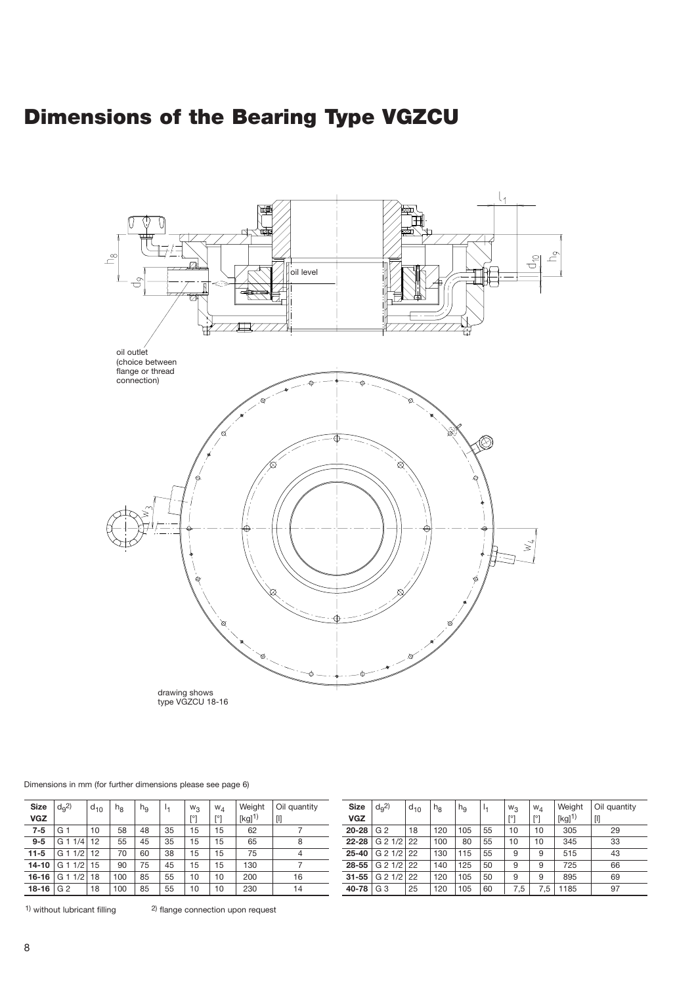# **Dimensions of the Bearing Type VGZCU**



#### Dimensions in mm (for further dimensions please see page 6)

| <b>Size</b> | $d9$ <sup>2</sup> | $d_{10}$ | $h_{\rm B}$ | h <sub>9</sub> | м  | $W_3$ | $W_A$ | Weight              | Oil quantity | <b>Size</b>   | $d_0$ <sup>2</sup>      | $d_{10}$ | $n_8$ | h <sub>9</sub> | -14 | $W_3$      | $W_A$    | Weight              | Oil quantity |
|-------------|-------------------|----------|-------------|----------------|----|-------|-------|---------------------|--------------|---------------|-------------------------|----------|-------|----------------|-----|------------|----------|---------------------|--------------|
| <b>VGZ</b>  |                   |          |             |                |    |       |       | $[kg]$ <sup>1</sup> |              | <b>VGZ</b>    |                         |          |       |                |     | <b>FOT</b> | [O]      | $[kg]$ <sup>1</sup> | $[]$         |
| 7-5         | G                 | 10       | 58          | 48             | 35 | 15    | 15    | 62                  |              | $20 - 28$ G 2 |                         | 18       | 120   | 105            | 55  | 10         | 10       | 305                 | 29           |
| $9 - 5$     | . G<br>1/4        | 12       | 55          | 45             | 35 | 15    | 15    | 65                  |              |               | 22-28 G 2 $1/2$ 22      |          | 100   | 80             | 55  | 10         | 10       | 345                 | 33           |
| 11-5        | 1/2<br>G          | 12       | 70          | 60             | 38 | 15    | 15    | 75                  |              |               | 25-40 $\mid$ G 2 1/2 22 |          | 130   | 115            | 55  | 9          |          | 515                 | 43           |
| $14 - 10$   | 1/2<br>l G 1      | 15       | 90          | 75             | 45 | 15    | 15    | 130                 |              |               | 28-55 G 2 $1/2$ 22      |          | 140   | 125            | 50  | 9          | $\Omega$ | 725                 | 66           |
| 16-16 $G$ 1 | 1/2               | 18       | 100         | 85             | 55 | 10    | 10    | 200                 | 16           |               | 31-55 G 2 $1/2$ 22      |          | 120   | 105            | 50  | 9          | a        | 895                 | 69           |
| 18-16 G 2   |                   | 18       | 100         | 85             | 55 | 10    | 10    | 230                 | 14           | 40-78 G $3$   |                         | 25       | 120   | 105            | 60  | 7.5        | 7,5      | 185                 | 97           |

 $1)$  without lubricant filling  $2)$  flange connection upon request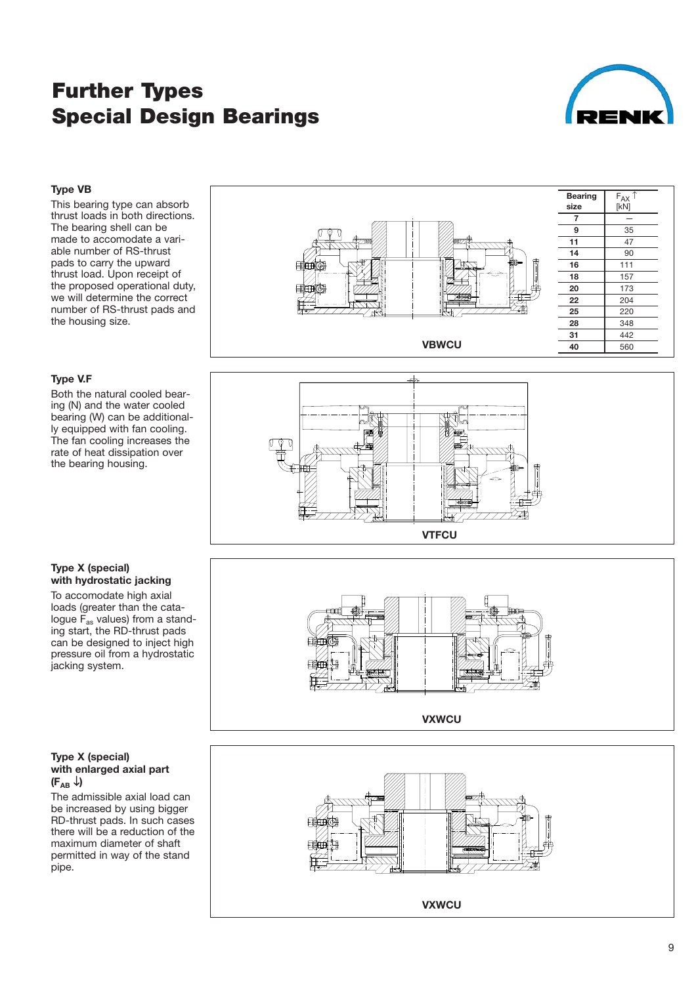# **Further Types Special Design Bearings**



#### **Type VB**

This bearing type can absorb thrust loads in both directions. The bearing shell can be made to accomodate a vari able number of RS-thrust pads to carry the upward thrust load. Upon receipt of the proposed operational duty, we will determine the correct number of RS-thrust pads and the housing size.

#### **Type V.F**

Both the natural cooled bear ing (N) and the water cooled bearing (W) can be additional ly equipped with fan cooling. The fan cooling increases the rate of heat dissipation over the bearing housing.





#### **Type X (special) with hydrostatic jacking**

To accomodate high axial loads (greater than the cata logue F<sub>as</sub> values) from a standing start, the RD-thrust pads can be designed to inject high pressure oil from a hydrostatic jacking system.

#### **Type X (special) with enlarged axial part**  $(F_{AB} \downarrow)$

The admissible axial load can be increased by using bigger RD-thrust pads. In such cases there will be a reduction of the maximum diameter of shaft permitted in way of the stand pipe.



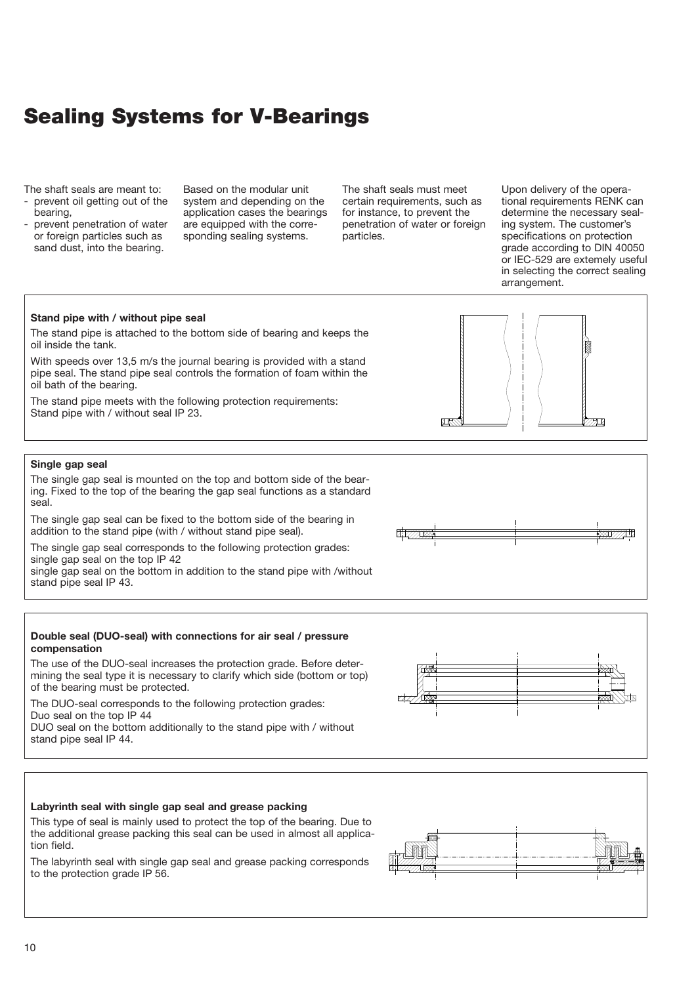# **Sealing Systems for V-Bearings**

The shaft seals are meant to:

- prevent oil getting out of the bearing,
- prevent penetration of water or foreign particles such as sand dust, into the bearing.

Based on the modular unit system and depending on the application cases the bearings are equipped with the corre sponding sealing systems.

The shaft seals must meet certain requirements, such as for instance, to prevent the penetration of water or foreign particles.

Upon delivery of the opera tional requirements RENK can determine the necessary seal ing system. The customer's specifications on protection grade according to DIN 40050 or IEC-529 are extemely useful in selecting the correct sealing arrangement.

#### **Stand pipe with / without pipe seal**

The stand pipe is attached to the bottom side of bearing and keeps the oil inside the tank.

With speeds over 13,5 m/s the journal bearing is provided with a stand pipe seal. The stand pipe seal controls the formation of foam within the oil bath of the bearing.

The stand pipe meets with the following protection requirements: Stand pipe with / without seal IP 23.



#### **Single gap seal**

The single gap seal is mounted on the top and bottom side of the bear ing. Fixed to the top of the bearing the gap seal functions as a standard seal.

The single gap seal can be fixed to the bottom side of the bearing in addition to the stand pipe (with / without stand pipe seal).

The single gap seal corresponds to the following protection grades: single gap seal on the top IP 42 single gap seal on the bottom in addition to the stand pipe with /without

stand pipe seal IP 43.

#### **Double seal (DUO-seal) with connections for air seal / pressure compensation**

The use of the DUO-seal increases the protection grade. Before determining the seal type it is necessary to clarify which side (bottom or top) of the bearing must be protected.

The DUO-seal corresponds to the following protection grades: Duo seal on the top IP 44 DUO seal on the bottom additionally to the stand pipe with / without

stand pipe seal IP 44.



This type of seal is mainly used to protect the top of the bearing. Due to the additional grease packing this seal can be used in almost all applica tion field.

The labyrinth seal with single gap seal and grease packing corresponds to the protection grade IP 56.



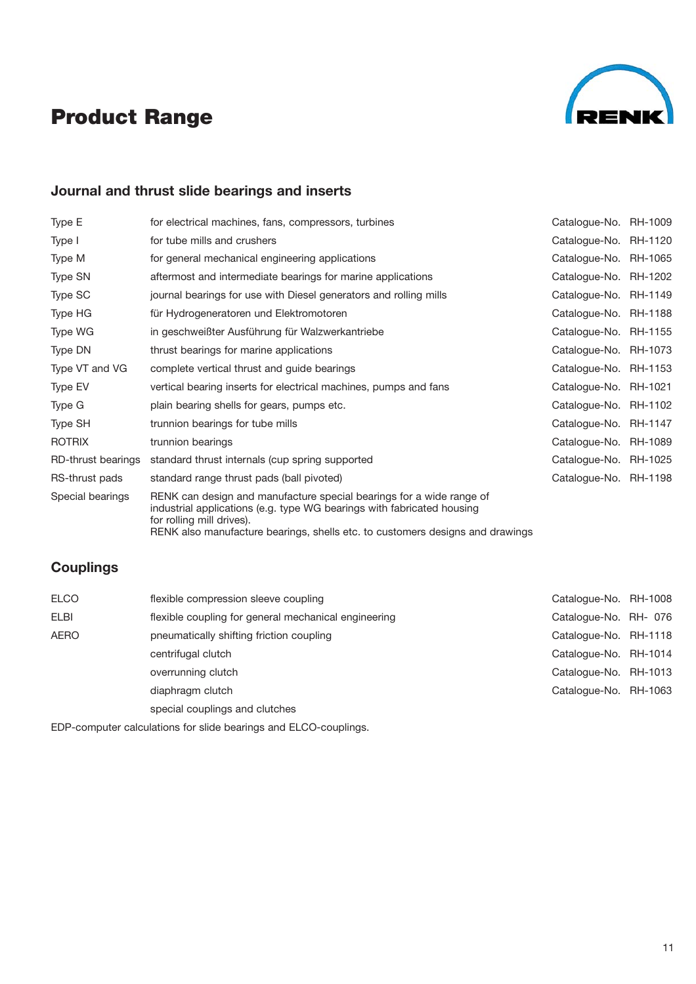# **Product Range**



## **Journal and thrust slide bearings and inserts**

| Type E             | for electrical machines, fans, compressors, turbines                                                                                                                                                                                                         | Catalogue-No. RH-1009 |  |
|--------------------|--------------------------------------------------------------------------------------------------------------------------------------------------------------------------------------------------------------------------------------------------------------|-----------------------|--|
| Type I             | for tube mills and crushers                                                                                                                                                                                                                                  | Catalogue-No. RH-1120 |  |
| Type M             | for general mechanical engineering applications                                                                                                                                                                                                              | Catalogue-No. RH-1065 |  |
| Type SN            | aftermost and intermediate bearings for marine applications                                                                                                                                                                                                  | Catalogue-No. RH-1202 |  |
| Type SC            | journal bearings for use with Diesel generators and rolling mills                                                                                                                                                                                            | Catalogue-No. RH-1149 |  |
| Type HG            | für Hydrogeneratoren und Elektromotoren                                                                                                                                                                                                                      | Catalogue-No. RH-1188 |  |
| Type WG            | in geschweißter Ausführung für Walzwerkantriebe                                                                                                                                                                                                              | Catalogue-No. RH-1155 |  |
| <b>Type DN</b>     | thrust bearings for marine applications                                                                                                                                                                                                                      | Catalogue-No. RH-1073 |  |
| Type VT and VG     | complete vertical thrust and guide bearings                                                                                                                                                                                                                  | Catalogue-No. RH-1153 |  |
| Type EV            | vertical bearing inserts for electrical machines, pumps and fans                                                                                                                                                                                             | Catalogue-No. RH-1021 |  |
| Type G             | plain bearing shells for gears, pumps etc.                                                                                                                                                                                                                   | Catalogue-No. RH-1102 |  |
| Type SH            | trunnion bearings for tube mills                                                                                                                                                                                                                             | Catalogue-No. RH-1147 |  |
| <b>ROTRIX</b>      | trunnion bearings                                                                                                                                                                                                                                            | Catalogue-No. RH-1089 |  |
| RD-thrust bearings | standard thrust internals (cup spring supported                                                                                                                                                                                                              | Catalogue-No. RH-1025 |  |
| RS-thrust pads     | standard range thrust pads (ball pivoted)                                                                                                                                                                                                                    | Catalogue-No. RH-1198 |  |
| Special bearings   | RENK can design and manufacture special bearings for a wide range of<br>industrial applications (e.g. type WG bearings with fabricated housing<br>for rolling mill drives).<br>RENK also manufacture bearings, shells etc. to customers designs and drawings |                       |  |

### **Couplings**

| <b>ELCO</b> | flexible compression sleeve coupling                 | Catalogue-No. RH-1008 |  |
|-------------|------------------------------------------------------|-----------------------|--|
| <b>ELBI</b> | flexible coupling for general mechanical engineering | Catalogue-No. RH- 076 |  |
| <b>AERO</b> | pneumatically shifting friction coupling             | Catalogue-No. RH-1118 |  |
|             | centrifugal clutch                                   | Catalogue-No. RH-1014 |  |
|             | overrunning clutch                                   | Catalogue-No. RH-1013 |  |
|             | diaphragm clutch                                     | Catalogue-No. RH-1063 |  |
|             | special couplings and clutches                       |                       |  |

EDP-computer calculations for slide bearings and ELCO-couplings.